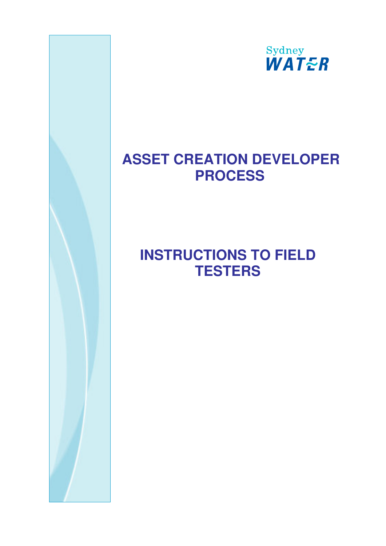

## **ASSET CREATION DEVELOPER PROCESS**

# **INSTRUCTIONS TO FIELD TESTERS**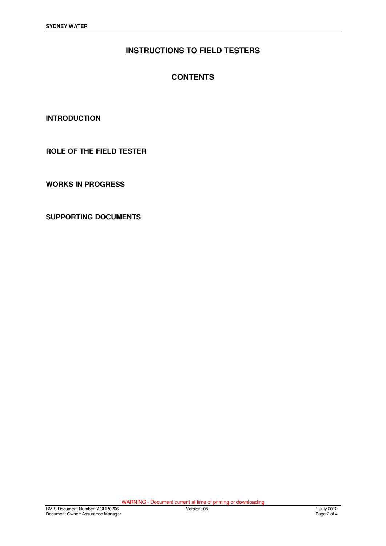## **INSTRUCTIONS TO FIELD TESTERS**

### **CONTENTS**

**INTRODUCTION** 

**ROLE OF THE FIELD TESTER**

**WORKS IN PROGRESS**

**SUPPORTING DOCUMENTS**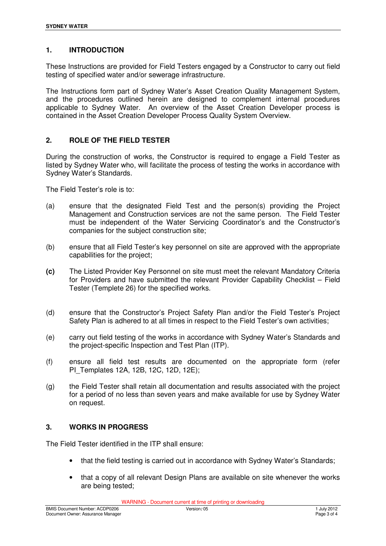#### **1. INTRODUCTION**

These Instructions are provided for Field Testers engaged by a Constructor to carry out field testing of specified water and/or sewerage infrastructure.

The Instructions form part of Sydney Water's Asset Creation Quality Management System, and the procedures outlined herein are designed to complement internal procedures applicable to Sydney Water. An overview of the Asset Creation Developer process is contained in the Asset Creation Developer Process Quality System Overview.

#### **2. ROLE OF THE FIELD TESTER**

During the construction of works, the Constructor is required to engage a Field Tester as listed by Sydney Water who, will facilitate the process of testing the works in accordance with Sydney Water's Standards.

The Field Tester's role is to:

- (a) ensure that the designated Field Test and the person(s) providing the Project Management and Construction services are not the same person. The Field Tester must be independent of the Water Servicing Coordinator's and the Constructor's companies for the subject construction site;
- (b) ensure that all Field Tester's key personnel on site are approved with the appropriate capabilities for the project;
- **(c)** The Listed Provider Key Personnel on site must meet the relevant Mandatory Criteria for Providers and have submitted the relevant Provider Capability Checklist – Field Tester (Templete 26) for the specified works.
- (d) ensure that the Constructor's Project Safety Plan and/or the Field Tester's Project Safety Plan is adhered to at all times in respect to the Field Tester's own activities;
- (e) carry out field testing of the works in accordance with Sydney Water's Standards and the project-specific Inspection and Test Plan (ITP).
- (f) ensure all field test results are documented on the appropriate form (refer PI\_Templates 12A, 12B, 12C, 12D, 12E);
- (g) the Field Tester shall retain all documentation and results associated with the project for a period of no less than seven years and make available for use by Sydney Water on request.

#### **3. WORKS IN PROGRESS**

The Field Tester identified in the ITP shall ensure:

- that the field testing is carried out in accordance with Sydney Water's Standards;
- that a copy of all relevant Design Plans are available on site whenever the works are being tested;

WARNING - Document current at time of printing or downloading